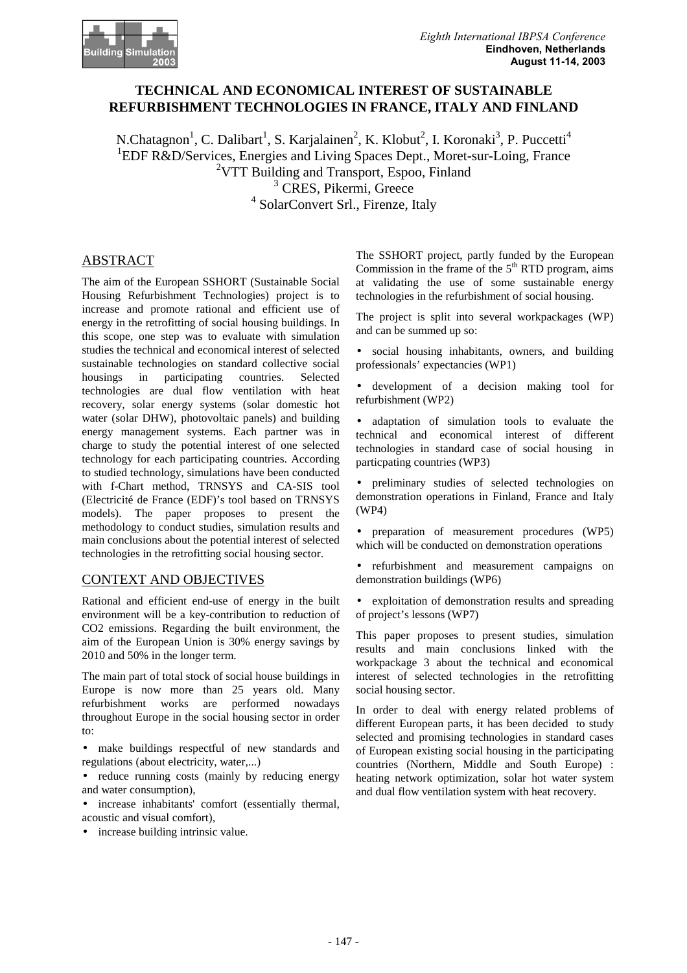

# **TECHNICAL AND ECONOMICAL INTEREST OF SUSTAINABLE REFURBISHMENT TECHNOLOGIES IN FRANCE, ITALY AND FINLAND**

N.Chatagnon<sup>1</sup>, C. Dalibart<sup>1</sup>, S. Karjalainen<sup>2</sup>, K. Klobut<sup>2</sup>, I. Koronaki<sup>3</sup>, P. Puccetti<sup>4</sup> <sup>1</sup>EDF R&D/Services, Energies and Living Spaces Dept., Moret-sur-Loing, France 2 VTT Building and Transport, Espoo, Finland <sup>3</sup> CRES, Pikermi, Greece <sup>4</sup> SolarConvert Srl., Firenze, Italy

# ABSTRACT

The aim of the European SSHORT (Sustainable Social Housing Refurbishment Technologies) project is to increase and promote rational and efficient use of energy in the retrofitting of social housing buildings. In this scope, one step was to evaluate with simulation studies the technical and economical interest of selected sustainable technologies on standard collective social housings in participating countries. Selected technologies are dual flow ventilation with heat recovery, solar energy systems (solar domestic hot water (solar DHW), photovoltaic panels) and building energy management systems. Each partner was in charge to study the potential interest of one selected technology for each participating countries. According to studied technology, simulations have been conducted with f-Chart method, TRNSYS and CA-SIS tool (Electricité de France (EDF)'s tool based on TRNSYS models). The paper proposes to present the methodology to conduct studies, simulation results and main conclusions about the potential interest of selected technologies in the retrofitting social housing sector.

### CONTEXT AND OBJECTIVES

Rational and efficient end-use of energy in the built environment will be a key-contribution to reduction of CO2 emissions. Regarding the built environment, the aim of the European Union is 30% energy savings by 2010 and 50% in the longer term.

The main part of total stock of social house buildings in Europe is now more than 25 years old. Many refurbishment works are performed nowadays throughout Europe in the social housing sector in order to:

- make buildings respectful of new standards and regulations (about electricity, water,...)
- reduce running costs (mainly by reducing energy and water consumption),
- increase inhabitants' comfort (essentially thermal, acoustic and visual comfort),
- increase building intrinsic value.

The SSHORT project, partly funded by the European Commission in the frame of the  $5<sup>th</sup>$  RTD program, aims at validating the use of some sustainable energy technologies in the refurbishment of social housing.

The project is split into several workpackages (WP) and can be summed up so:

- social housing inhabitants, owners, and building professionals' expectancies (WP1)
- development of a decision making tool for refurbishment (WP2)

• adaptation of simulation tools to evaluate the technical and economical interest of different technologies in standard case of social housing in particpating countries (WP3)

• preliminary studies of selected technologies on demonstration operations in Finland, France and Italy (WP4)

- preparation of measurement procedures (WP5) which will be conducted on demonstration operations
- refurbishment and measurement campaigns on demonstration buildings (WP6)
- exploitation of demonstration results and spreading of project's lessons (WP7)

This paper proposes to present studies, simulation results and main conclusions linked with the workpackage 3 about the technical and economical interest of selected technologies in the retrofitting social housing sector.

In order to deal with energy related problems of different European parts, it has been decided to study selected and promising technologies in standard cases of European existing social housing in the participating countries (Northern, Middle and South Europe) : heating network optimization, solar hot water system and dual flow ventilation system with heat recovery.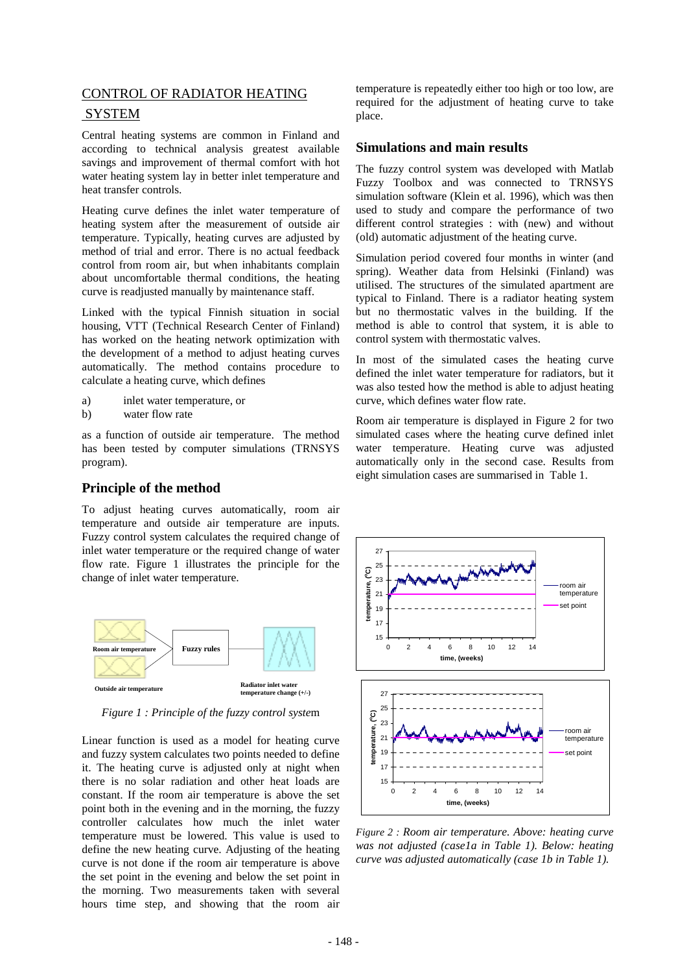# CONTROL OF RADIATOR HEATING SYSTEM

Central heating systems are common in Finland and according to technical analysis greatest available savings and improvement of thermal comfort with hot water heating system lay in better inlet temperature and heat transfer controls.

Heating curve defines the inlet water temperature of heating system after the measurement of outside air temperature. Typically, heating curves are adjusted by method of trial and error. There is no actual feedback control from room air, but when inhabitants complain about uncomfortable thermal conditions, the heating curve is readjusted manually by maintenance staff.

Linked with the typical Finnish situation in social housing, VTT (Technical Research Center of Finland) has worked on the heating network optimization with the development of a method to adjust heating curves automatically. The method contains procedure to calculate a heating curve, which defines

- a) inlet water temperature, or
- b) water flow rate

as a function of outside air temperature. The method has been tested by computer simulations (TRNSYS program).

### **Principle of the method**

To adjust heating curves automatically, room air temperature and outside air temperature are inputs. Fuzzy control system calculates the required change of inlet water temperature or the required change of water flow rate. Figure 1 illustrates the principle for the change of inlet water temperature.



*Figure 1 : Principle of the fuzzy control syste*m

Linear function is used as a model for heating curve and fuzzy system calculates two points needed to define it. The heating curve is adjusted only at night when there is no solar radiation and other heat loads are constant. If the room air temperature is above the set point both in the evening and in the morning, the fuzzy controller calculates how much the inlet water temperature must be lowered. This value is used to define the new heating curve. Adjusting of the heating curve is not done if the room air temperature is above the set point in the evening and below the set point in the morning. Two measurements taken with several hours time step, and showing that the room air

temperature is repeatedly either too high or too low, are required for the adjustment of heating curve to take place.

### **Simulations and main results**

The fuzzy control system was developed with Matlab Fuzzy Toolbox and was connected to TRNSYS simulation software (Klein et al. 1996), which was then used to study and compare the performance of two different control strategies : with (new) and without (old) automatic adjustment of the heating curve.

Simulation period covered four months in winter (and spring). Weather data from Helsinki (Finland) was utilised. The structures of the simulated apartment are typical to Finland. There is a radiator heating system but no thermostatic valves in the building. If the method is able to control that system, it is able to control system with thermostatic valves.

In most of the simulated cases the heating curve defined the inlet water temperature for radiators, but it was also tested how the method is able to adjust heating curve, which defines water flow rate.

Room air temperature is displayed in Figure 2 for two simulated cases where the heating curve defined inlet water temperature. Heating curve was adjusted automatically only in the second case. Results from eight simulation cases are summarised in Table 1.



*Figure 2 : Room air temperature. Above: heating curve was not adjusted (case1a in Table 1). Below: heating curve was adjusted automatically (case 1b in Table 1).*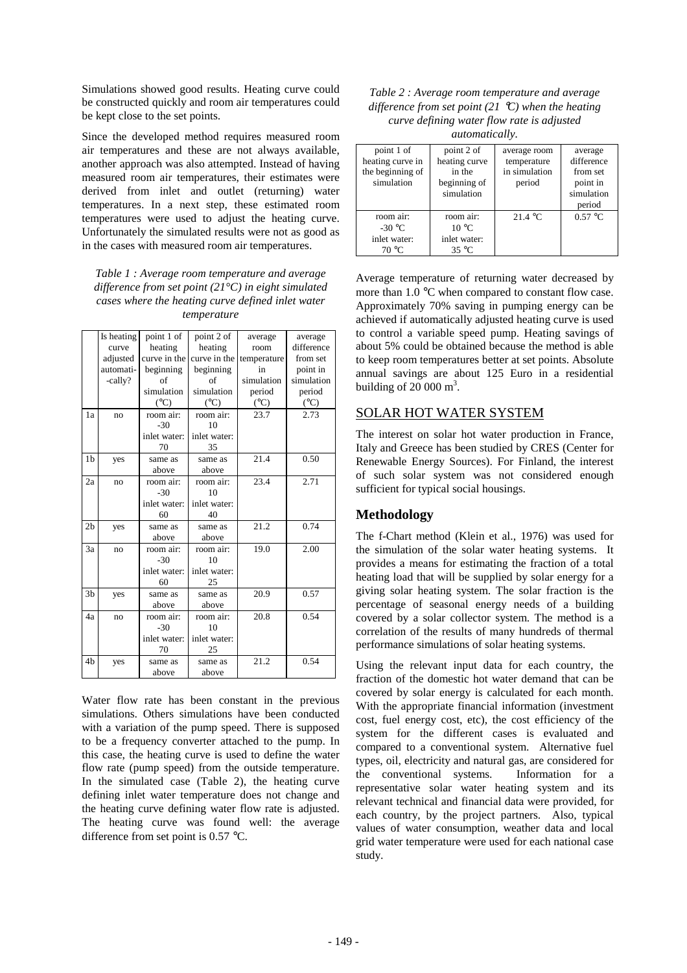Simulations showed good results. Heating curve could be constructed quickly and room air temperatures could be kept close to the set points.

Since the developed method requires measured room air temperatures and these are not always available, another approach was also attempted. Instead of having measured room air temperatures, their estimates were derived from inlet and outlet (returning) water temperatures. In a next step, these estimated room temperatures were used to adjust the heating curve. Unfortunately the simulated results were not as good as in the cases with measured room air temperatures.

*Table 1 : Average room temperature and average difference from set point (21°C) in eight simulated cases where the heating curve defined inlet water temperature*

|                | Is heating | point 1 of    | point 2 of      | average       | average       |
|----------------|------------|---------------|-----------------|---------------|---------------|
|                | curve      | heating       | heating         | room          | difference    |
|                | adjusted   | curve in the  | curve in the    | temperature   | from set      |
|                | automati-  | beginning     | beginning       | in            | point in      |
|                | -cally?    | of            | of              | simulation    | simulation    |
|                |            | simulation    | simulation      | period        | period        |
|                |            | $(^{\circ}C)$ | $({}^{\circ}C)$ | $(^{\circ}C)$ | $(^{\circ}C)$ |
| 1a             | no         | room air:     | room air:       | 23.7          | 2.73          |
|                |            | $-30$         | 10              |               |               |
|                |            | inlet water:  | inlet water:    |               |               |
|                |            | 70            | 35              |               |               |
| 1b             | yes        | same as       | same as         | 21.4          | 0.50          |
|                |            | above         | above           |               |               |
| 2a             | no         | room air:     | room air:       | 23.4          | 2.71          |
|                |            | $-30$         | 10              |               |               |
|                |            | inlet water:  | inlet water:    |               |               |
|                |            | 60            | 40              |               |               |
| 2 <sub>b</sub> | yes        | same as       | same as         | 21.2          | 0.74          |
|                |            | above         | above           |               |               |
| 3a             | no         | room air:     | room air:       | 19.0          | 2.00          |
|                |            | $-30$         | 10              |               |               |
|                |            | inlet water:  | inlet water:    |               |               |
|                |            | 60            | 25              |               |               |
| 3 <sub>b</sub> | yes        | same as       | same as         | 20.9          | 0.57          |
|                |            | above         | above           |               |               |
| 4a             | no         | room air:     | room air:       | 20.8          | 0.54          |
|                |            | $-30$         | 10              |               |               |
|                |            | inlet water:  | inlet water:    |               |               |
|                |            | 70            | 25              |               |               |
| 4 <sub>b</sub> | yes        | same as       | same as         | 21.2          | 0.54          |
|                |            | above         | above           |               |               |

Water flow rate has been constant in the previous simulations. Others simulations have been conducted with a variation of the pump speed. There is supposed to be a frequency converter attached to the pump. In this case, the heating curve is used to define the water flow rate (pump speed) from the outside temperature. In the simulated case (Table 2), the heating curve defining inlet water temperature does not change and the heating curve defining water flow rate is adjusted. The heating curve was found well: the average difference from set point is 0.57 °C.

| Table 2 : Average room temperature and average     |
|----------------------------------------------------|
| difference from set point (21 °C) when the heating |
| curve defining water flow rate is adjusted         |
| <i>automatically.</i>                              |

| point 1 of<br>heating curve in<br>the beginning of<br>simulation | point 2 of<br>heating curve<br>in the<br>beginning of<br>simulation | average room<br>temperature<br>in simulation<br>period | average<br>difference<br>from set<br>point in<br>simulation<br>period |
|------------------------------------------------------------------|---------------------------------------------------------------------|--------------------------------------------------------|-----------------------------------------------------------------------|
| room air:<br>$-30$ °C<br>inlet water:<br>70 °C                   | room air:<br>$10^{\circ}$ C<br>inlet water:<br>$35^{\circ}$ C       | 21.4 °C                                                | $0.57 \text{ °C}$                                                     |

Average temperature of returning water decreased by more than 1.0 °C when compared to constant flow case. Approximately 70% saving in pumping energy can be achieved if automatically adjusted heating curve is used to control a variable speed pump. Heating savings of about 5% could be obtained because the method is able to keep room temperatures better at set points. Absolute annual savings are about 125 Euro in a residential building of  $20000 \text{ m}^3$ .

### SOLAR HOT WATER SYSTEM

The interest on solar hot water production in France, Italy and Greece has been studied by CRES (Center for Renewable Energy Sources). For Finland, the interest of such solar system was not considered enough sufficient for typical social housings.

### **Methodology**

The f-Chart method (Klein et al., 1976) was used for the simulation of the solar water heating systems. It provides a means for estimating the fraction of a total heating load that will be supplied by solar energy for a giving solar heating system. The solar fraction is the percentage of seasonal energy needs of a building covered by a solar collector system. The method is a correlation of the results of many hundreds of thermal performance simulations of solar heating systems.

Using the relevant input data for each country, the fraction of the domestic hot water demand that can be covered by solar energy is calculated for each month. With the appropriate financial information (investment cost, fuel energy cost, etc), the cost efficiency of the system for the different cases is evaluated and compared to a conventional system. Alternative fuel types, oil, electricity and natural gas, are considered for the conventional systems. Information for a representative solar water heating system and its relevant technical and financial data were provided, for each country, by the project partners. Also, typical values of water consumption, weather data and local grid water temperature were used for each national case study.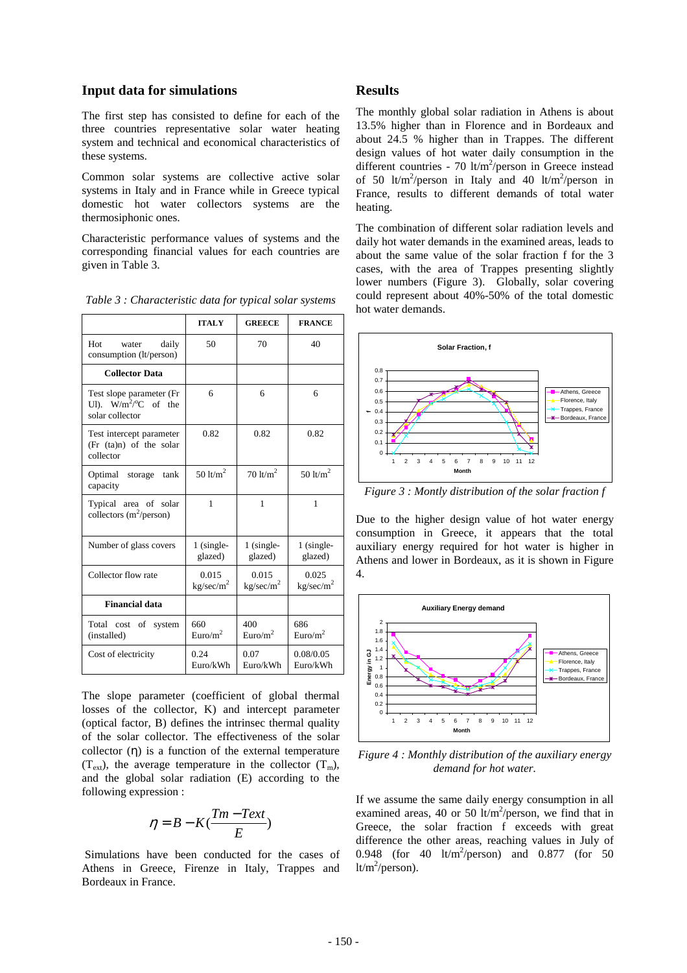#### **Input data for simulations**

The first step has consisted to define for each of the three countries representative solar water heating system and technical and economical characteristics of these systems.

Common solar systems are collective active solar systems in Italy and in France while in Greece typical domestic hot water collectors systems are the thermosiphonic ones.

Characteristic performance values of systems and the corresponding financial values for each countries are given in Table 3.

*Table 3 : Characteristic data for typical solar systems* 

|                                                                                   | <b>ITALY</b>                   | <b>GREECE</b>                  | <b>FRANCE</b>                     |
|-----------------------------------------------------------------------------------|--------------------------------|--------------------------------|-----------------------------------|
| Hot<br>daily<br>water<br>consumption (lt/person)                                  | 50                             | 70                             | 40                                |
| <b>Collector Data</b>                                                             |                                |                                |                                   |
| Test slope parameter (Fr<br>UI). $W/m^2$ <sup>o</sup> C of the<br>solar collector | 6                              | 6                              | 6                                 |
| Test intercept parameter<br>$(Fr (ta)n)$ of the solar<br>collector                | 0.82                           | 0.82                           | 0.82                              |
| Optimal<br>storage<br>tank<br>capacity                                            | 50 $lt/m2$                     | $70 \text{ lb/m}^2$            | 50 $\frac{\text{lt}}{\text{m}^2}$ |
| Typical area of solar<br>collectors $(m^2/person)$                                | $\mathbf{1}$                   | $\mathbf{1}$                   | 1                                 |
| Number of glass covers                                                            | $1$ (single-<br>glazed)        | $1$ (single-<br>glazed)        | 1 (single-<br>glazed)             |
| Collector flow rate                                                               | 0.015<br>kg/sec/m <sup>2</sup> | 0.015<br>kg/sec/m <sup>2</sup> | 0.025<br>kg/sec/m <sup>2</sup>    |
| <b>Financial data</b>                                                             |                                |                                |                                   |
| Total cost of<br>system<br>(installed)                                            | 660<br>Euro/ $m^2$             | 400<br>Euro/m <sup>2</sup>     | 686<br>Euro/m <sup>2</sup>        |
| Cost of electricity                                                               | 0.24<br>Euro/kWh               | 0.07<br>Euro/kWh               | 0.08/0.05<br>Euro/kWh             |

The slope parameter (coefficient of global thermal losses of the collector, K) and intercept parameter (optical factor, B) defines the intrinsec thermal quality of the solar collector. The effectiveness of the solar collector  $(\eta)$  is a function of the external temperature  $(T_{ext})$ , the average temperature in the collector  $(T_m)$ , and the global solar radiation (E) according to the following expression :

$$
\eta = B - K(\frac{Tm-Text}{E})
$$

 Simulations have been conducted for the cases of Athens in Greece, Firenze in Italy, Trappes and Bordeaux in France.

#### **Results**

The monthly global solar radiation in Athens is about 13.5% higher than in Florence and in Bordeaux and about 24.5 % higher than in Trappes. The different design values of hot water daily consumption in the different countries - 70  $lt/m^2$ /person in Greece instead of 50 lt/m<sup>2</sup>/person in Italy and 40 lt/m<sup>2</sup>/person in France, results to different demands of total water heating.

The combination of different solar radiation levels and daily hot water demands in the examined areas, leads to about the same value of the solar fraction f for the 3 cases, with the area of Trappes presenting slightly lower numbers (Figure 3). Globally, solar covering could represent about 40%-50% of the total domestic hot water demands.



*Figure 3 : Montly distribution of the solar fraction f* 

Due to the higher design value of hot water energy consumption in Greece, it appears that the total auxiliary energy required for hot water is higher in Athens and lower in Bordeaux, as it is shown in Figure 4.



*Figure 4 : Monthly distribution of the auxiliary energy demand for hot water.* 

If we assume the same daily energy consumption in all examined areas, 40 or 50 lt/m<sup>2</sup>/person, we find that in Greece, the solar fraction f exceeds with great difference the other areas, reaching values in July of 0.948 (for 40  $lt/m^2/person$ ) and 0.877 (for 50  $lt/m^2$ /person).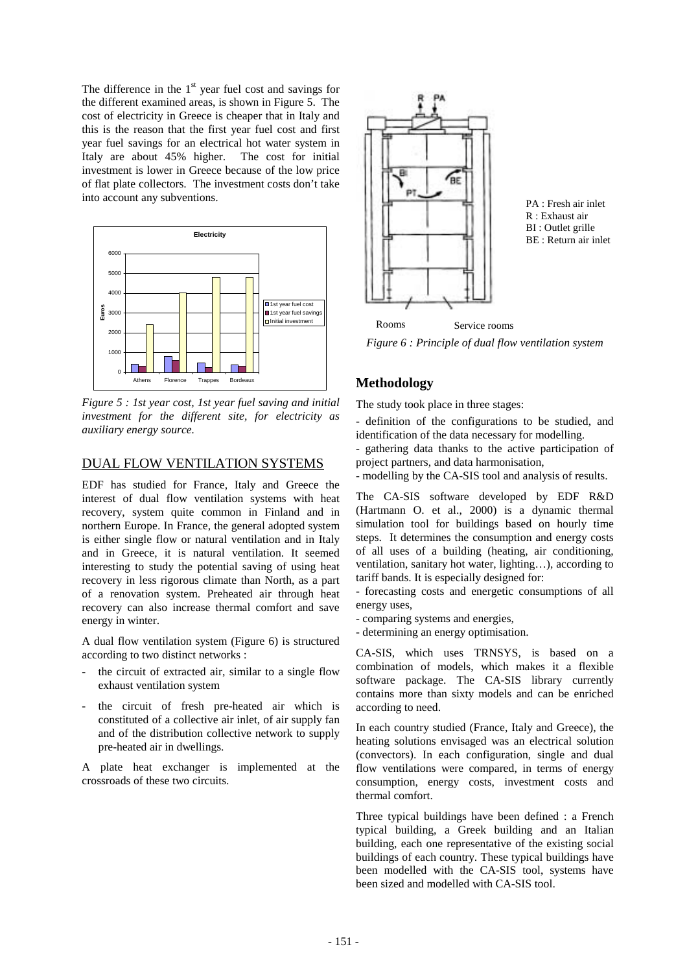The difference in the  $1<sup>st</sup>$  year fuel cost and savings for the different examined areas, is shown in Figure 5. The cost of electricity in Greece is cheaper that in Italy and this is the reason that the first year fuel cost and first year fuel savings for an electrical hot water system in Italy are about 45% higher. The cost for initial investment is lower in Greece because of the low price of flat plate collectors. The investment costs don't take into account any subventions.



*Figure 5 : 1st year cost, 1st year fuel saving and initial investment for the different site, for electricity as auxiliary energy source.* 

# DUAL FLOW VENTILATION SYSTEMS

EDF has studied for France, Italy and Greece the interest of dual flow ventilation systems with heat recovery, system quite common in Finland and in northern Europe. In France, the general adopted system is either single flow or natural ventilation and in Italy and in Greece, it is natural ventilation. It seemed interesting to study the potential saving of using heat recovery in less rigorous climate than North, as a part of a renovation system. Preheated air through heat recovery can also increase thermal comfort and save energy in winter.

A dual flow ventilation system (Figure 6) is structured according to two distinct networks :

- the circuit of extracted air, similar to a single flow exhaust ventilation system
- the circuit of fresh pre-heated air which is constituted of a collective air inlet, of air supply fan and of the distribution collective network to supply pre-heated air in dwellings.

A plate heat exchanger is implemented at the crossroads of these two circuits.



PA : Fresh air inlet R : Exhaust air BI : Outlet grille BE : Return air inlet

*Figure 6 : Principle of dual flow ventilation system*  Initial investment Rooms Service rooms

# **Methodology**

The study took place in three stages:

- definition of the configurations to be studied, and identification of the data necessary for modelling.

- gathering data thanks to the active participation of project partners, and data harmonisation,

- modelling by the CA-SIS tool and analysis of results.

The CA-SIS software developed by EDF R&D (Hartmann O. et al., 2000) is a dynamic thermal simulation tool for buildings based on hourly time steps. It determines the consumption and energy costs of all uses of a building (heating, air conditioning, ventilation, sanitary hot water, lighting…), according to tariff bands. It is especially designed for:

- forecasting costs and energetic consumptions of all energy uses,

- comparing systems and energies,
- determining an energy optimisation.

CA-SIS, which uses TRNSYS, is based on a combination of models, which makes it a flexible software package. The CA-SIS library currently contains more than sixty models and can be enriched according to need.

In each country studied (France, Italy and Greece), the heating solutions envisaged was an electrical solution (convectors). In each configuration, single and dual flow ventilations were compared, in terms of energy consumption, energy costs, investment costs and thermal comfort.

Three typical buildings have been defined : a French typical building, a Greek building and an Italian building, each one representative of the existing social buildings of each country. These typical buildings have been modelled with the CA-SIS tool, systems have been sized and modelled with CA-SIS tool.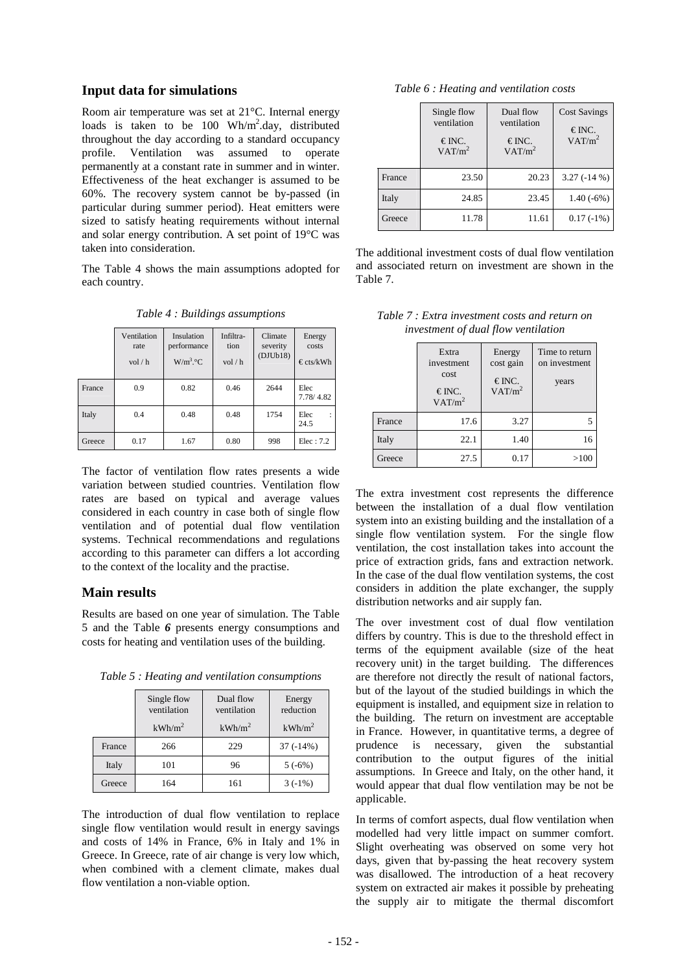#### **Input data for simulations**

Room air temperature was set at 21°C. Internal energy loads is taken to be 100 Wh/m<sup>2</sup>.day, distributed throughout the day according to a standard occupancy profile. Ventilation was assumed to operate permanently at a constant rate in summer and in winter. Effectiveness of the heat exchanger is assumed to be 60%. The recovery system cannot be by-passed (in particular during summer period). Heat emitters were sized to satisfy heating requirements without internal and solar energy contribution. A set point of 19°C was taken into consideration.

The Table 4 shows the main assumptions adopted for each country.

|        | Ventilation<br>rate<br>vol/h | Insulation<br>performance<br>W/m <sup>3</sup> °C | Infiltra-<br>tion<br>vol/h | Climate<br>severity<br>(DJUb18) | Energy<br>costs<br>$\epsilon$ cts/kWh |
|--------|------------------------------|--------------------------------------------------|----------------------------|---------------------------------|---------------------------------------|
| France | 0.9                          | 0.82                                             | 0.46                       | 2644                            | Elec<br>7.78/4.82                     |
| Italy  | 0.4                          | 0.48                                             | 0.48                       | 1754                            | Elec<br>$\ddot{\phantom{a}}$<br>24.5  |
| Greece | 0.17                         | 1.67                                             | 0.80                       | 998                             | Elec: 7.2                             |

*Table 4 : Buildings assumptions* 

The factor of ventilation flow rates presents a wide variation between studied countries. Ventilation flow rates are based on typical and average values considered in each country in case both of single flow ventilation and of potential dual flow ventilation systems. Technical recommendations and regulations according to this parameter can differs a lot according to the context of the locality and the practise.

#### **Main results**

Results are based on one year of simulation. The Table 5 and the Table *6* presents energy consumptions and costs for heating and ventilation uses of the building.

*Table 5 : Heating and ventilation consumptions* 

|        | Single flow<br>ventilation<br>$kWh/m^2$ | Dual flow<br>ventilation<br>$kWh/m^2$ | Energy<br>reduction<br>kWh/m <sup>2</sup> |
|--------|-----------------------------------------|---------------------------------------|-------------------------------------------|
| France | 266                                     | 229                                   | $37(-14%)$                                |
| Italy  | 101                                     | 96                                    | 5(.6%)                                    |
| Greece | 164                                     | 161                                   | $3(-1%)$                                  |

The introduction of dual flow ventilation to replace single flow ventilation would result in energy savings and costs of 14% in France, 6% in Italy and 1% in Greece. In Greece, rate of air change is very low which, when combined with a clement climate, makes dual flow ventilation a non-viable option.

|  |  | Table 6 : Heating and ventilation costs |  |
|--|--|-----------------------------------------|--|
|--|--|-----------------------------------------|--|

|        | Single flow<br>ventilation<br>€INC.<br>VAT/m <sup>2</sup> | Dual flow<br>ventilation<br>$\in$ INC.<br>VAT/m <sup>2</sup> | <b>Cost Savings</b><br>€INC.<br>VAT/m <sup>2</sup> |
|--------|-----------------------------------------------------------|--------------------------------------------------------------|----------------------------------------------------|
| France | 23.50                                                     | 20.23                                                        | $3.27(-14%)$                                       |
| Italy  | 24.85                                                     | 23.45                                                        | $1.40(-6%)$                                        |
| Greece | 11.78                                                     | 11.61                                                        | $0.17(-1%)$                                        |

The additional investment costs of dual flow ventilation and associated return on investment are shown in the Table 7.

|  |                                     |  |  | Table 7 : Extra investment costs and return on |  |
|--|-------------------------------------|--|--|------------------------------------------------|--|
|  | investment of dual flow ventilation |  |  |                                                |  |

|        | Extra<br>investment<br>cost<br>€INC.<br>VAT/m <sup>2</sup> | Energy<br>cost gain<br>€INC.<br>VAT/m <sup>2</sup> | Time to return<br>on investment<br>years |
|--------|------------------------------------------------------------|----------------------------------------------------|------------------------------------------|
| France | 17.6                                                       | 3.27                                               |                                          |
| Italy  | 22.1                                                       | 1.40                                               | 16                                       |
| Greece | 27.5                                                       | 0.17                                               | >100                                     |

The extra investment cost represents the difference between the installation of a dual flow ventilation system into an existing building and the installation of a single flow ventilation system. For the single flow ventilation, the cost installation takes into account the price of extraction grids, fans and extraction network. In the case of the dual flow ventilation systems, the cost considers in addition the plate exchanger, the supply distribution networks and air supply fan.

The over investment cost of dual flow ventilation differs by country. This is due to the threshold effect in terms of the equipment available (size of the heat recovery unit) in the target building. The differences are therefore not directly the result of national factors, but of the layout of the studied buildings in which the equipment is installed, and equipment size in relation to the building. The return on investment are acceptable in France. However, in quantitative terms, a degree of prudence is necessary, given the substantial contribution to the output figures of the initial assumptions. In Greece and Italy, on the other hand, it would appear that dual flow ventilation may be not be applicable.

In terms of comfort aspects, dual flow ventilation when modelled had very little impact on summer comfort. Slight overheating was observed on some very hot days, given that by-passing the heat recovery system was disallowed. The introduction of a heat recovery system on extracted air makes it possible by preheating the supply air to mitigate the thermal discomfort